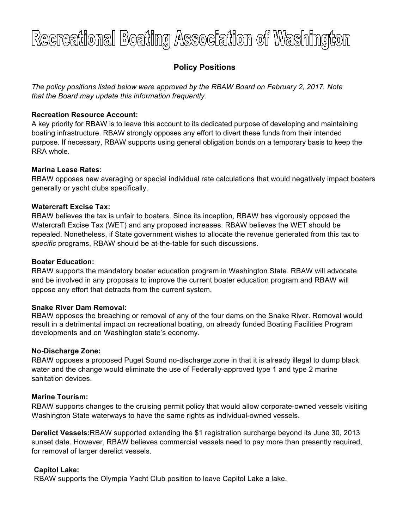# Recreational Boating Association of Washington

# **Policy Positions**

*The policy positions listed below were approved by the RBAW Board on February 2, 2017. Note that the Board may update this information frequently.*

# **Recreation Resource Account:**

A key priority for RBAW is to leave this account to its dedicated purpose of developing and maintaining boating infrastructure. RBAW strongly opposes any effort to divert these funds from their intended purpose. If necessary, RBAW supports using general obligation bonds on a temporary basis to keep the RRA whole.

## **Marina Lease Rates:**

RBAW opposes new averaging or special individual rate calculations that would negatively impact boaters generally or yacht clubs specifically.

## **Watercraft Excise Tax:**

RBAW believes the tax is unfair to boaters. Since its inception, RBAW has vigorously opposed the Watercraft Excise Tax (WET) and any proposed increases. RBAW believes the WET should be repealed. Nonetheless, if State government wishes to allocate the revenue generated from this tax to *specific* programs, RBAW should be at-the-table for such discussions.

#### **Boater Education:**

RBAW supports the mandatory boater education program in Washington State. RBAW will advocate and be involved in any proposals to improve the current boater education program and RBAW will oppose any effort that detracts from the current system.

#### **Snake River Dam Removal:**

RBAW opposes the breaching or removal of any of the four dams on the Snake River. Removal would result in a detrimental impact on recreational boating, on already funded Boating Facilities Program developments and on Washington state's economy.

#### **No-Discharge Zone:**

RBAW opposes a proposed Puget Sound no-discharge zone in that it is already illegal to dump black water and the change would eliminate the use of Federally-approved type 1 and type 2 marine sanitation devices.

#### **Marine Tourism:**

RBAW supports changes to the cruising permit policy that would allow corporate-owned vessels visiting Washington State waterways to have the same rights as individual-owned vessels.

**Derelict Vessels:**RBAW supported extending the \$1 registration surcharge beyond its June 30, 2013 sunset date. However, RBAW believes commercial vessels need to pay more than presently required, for removal of larger derelict vessels.

# **Capitol Lake:**

RBAW supports the Olympia Yacht Club position to leave Capitol Lake a lake.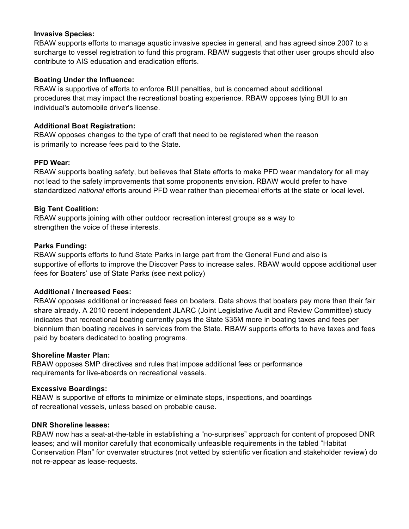#### **Invasive Species:**

RBAW supports efforts to manage aquatic invasive species in general, and has agreed since 2007 to a surcharge to vessel registration to fund this program. RBAW suggests that other user groups should also contribute to AIS education and eradication efforts.

# **Boating Under the Influence:**

RBAW is supportive of efforts to enforce BUI penalties, but is concerned about additional procedures that may impact the recreational boating experience. RBAW opposes tying BUI to an individual's automobile driver's license.

# **Additional Boat Registration:**

RBAW opposes changes to the type of craft that need to be registered when the reason is primarily to increase fees paid to the State.

## **PFD Wear:**

RBAW supports boating safety, but believes that State efforts to make PFD wear mandatory for all may not lead to the safety improvements that some proponents envision. RBAW would prefer to have standardized *national* efforts around PFD wear rather than piecemeal efforts at the state or local level.

# **Big Tent Coalition:**

RBAW supports joining with other outdoor recreation interest groups as a way to strengthen the voice of these interests.

## **Parks Funding:**

RBAW supports efforts to fund State Parks in large part from the General Fund and also is supportive of efforts to improve the Discover Pass to increase sales. RBAW would oppose additional user fees for Boaters' use of State Parks (see next policy)

# **Additional / Increased Fees:**

RBAW opposes additional or increased fees on boaters. Data shows that boaters pay more than their fair share already. A 2010 recent independent JLARC (Joint Legislative Audit and Review Committee) study indicates that recreational boating currently pays the State \$35M more in boating taxes and fees per biennium than boating receives in services from the State. RBAW supports efforts to have taxes and fees paid by boaters dedicated to boating programs.

#### **Shoreline Master Plan:**

RBAW opposes SMP directives and rules that impose additional fees or performance requirements for live-aboards on recreational vessels.

#### **Excessive Boardings:**

RBAW is supportive of efforts to minimize or eliminate stops, inspections, and boardings of recreational vessels, unless based on probable cause.

#### **DNR Shoreline leases:**

RBAW now has a seat-at-the-table in establishing a "no-surprises" approach for content of proposed DNR leases; and will monitor carefully that economically unfeasible requirements in the tabled "Habitat Conservation Plan" for overwater structures (not vetted by scientific verification and stakeholder review) do not re-appear as lease-requests.